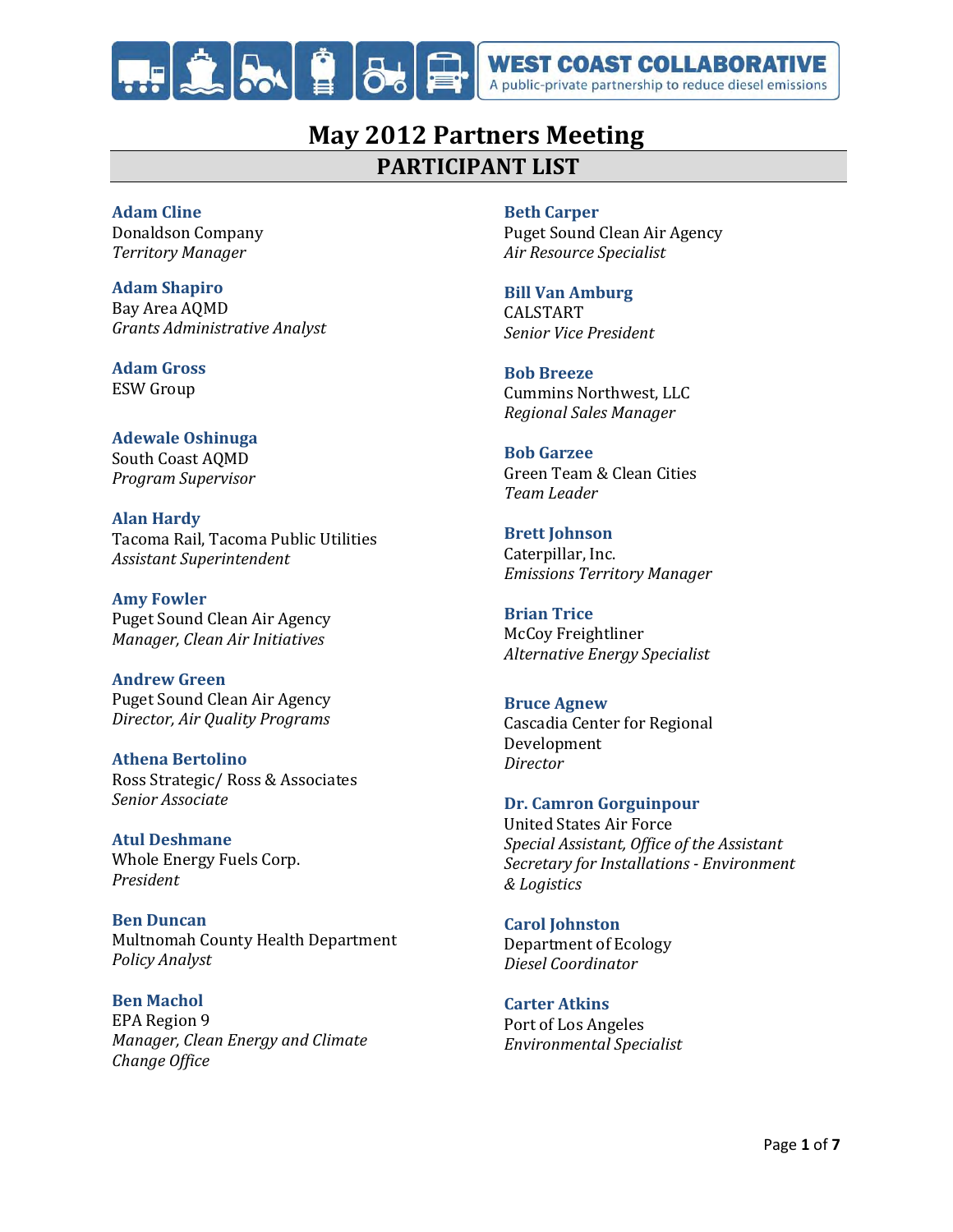

# **May 2012 Partners Meeting PARTICIPANT LIST**

# **Adam Cline**

Donaldson Company *Territory Manager*

**Adam Shapiro** Bay Area AQMD *Grants Administrative Analyst*

**Adam Gross** ESW Group

**Adewale Oshinuga** South Coast AQMD *Program Supervisor*

**Alan Hardy** Tacoma Rail, Tacoma Public Utilities *Assistant Superintendent*

**Amy Fowler** Puget Sound Clean Air Agency *Manager, Clean Air Initiatives*

**Andrew Green** Puget Sound Clean Air Agency *Director, Air Quality Programs*

**Athena Bertolino** Ross Strategic/ Ross & Associates *Senior Associate*

**Atul Deshmane** Whole Energy Fuels Corp. *President*

**Ben Duncan** Multnomah County Health Department *Policy Analyst*

**Ben Machol** EPA Region 9 *Manager, Clean Energy and Climate Change Office*

# **Beth Carper**

Puget Sound Clean Air Agency *Air Resource Specialist*

# **Bill Van Amburg**

CALSTART *Senior Vice President*

**Bob Breeze** Cummins Northwest, LLC *Regional Sales Manager*

#### **Bob Garzee**

Green Team & Clean Cities *Team Leader*

**Brett Johnson** Caterpillar, Inc. *Emissions Territory Manager*

**Brian Trice** McCoy Freightliner *Alternative Energy Specialist*

### **Bruce Agnew**

Cascadia Center for Regional Development *Director*

### **Dr. Camron Gorguinpour**

United States Air Force *Special Assistant, Office of the Assistant Secretary for Installations - Environment & Logistics*

**Carol Johnston** Department of Ecology *Diesel Coordinator*

**Carter Atkins** Port of Los Angeles *Environmental Specialist*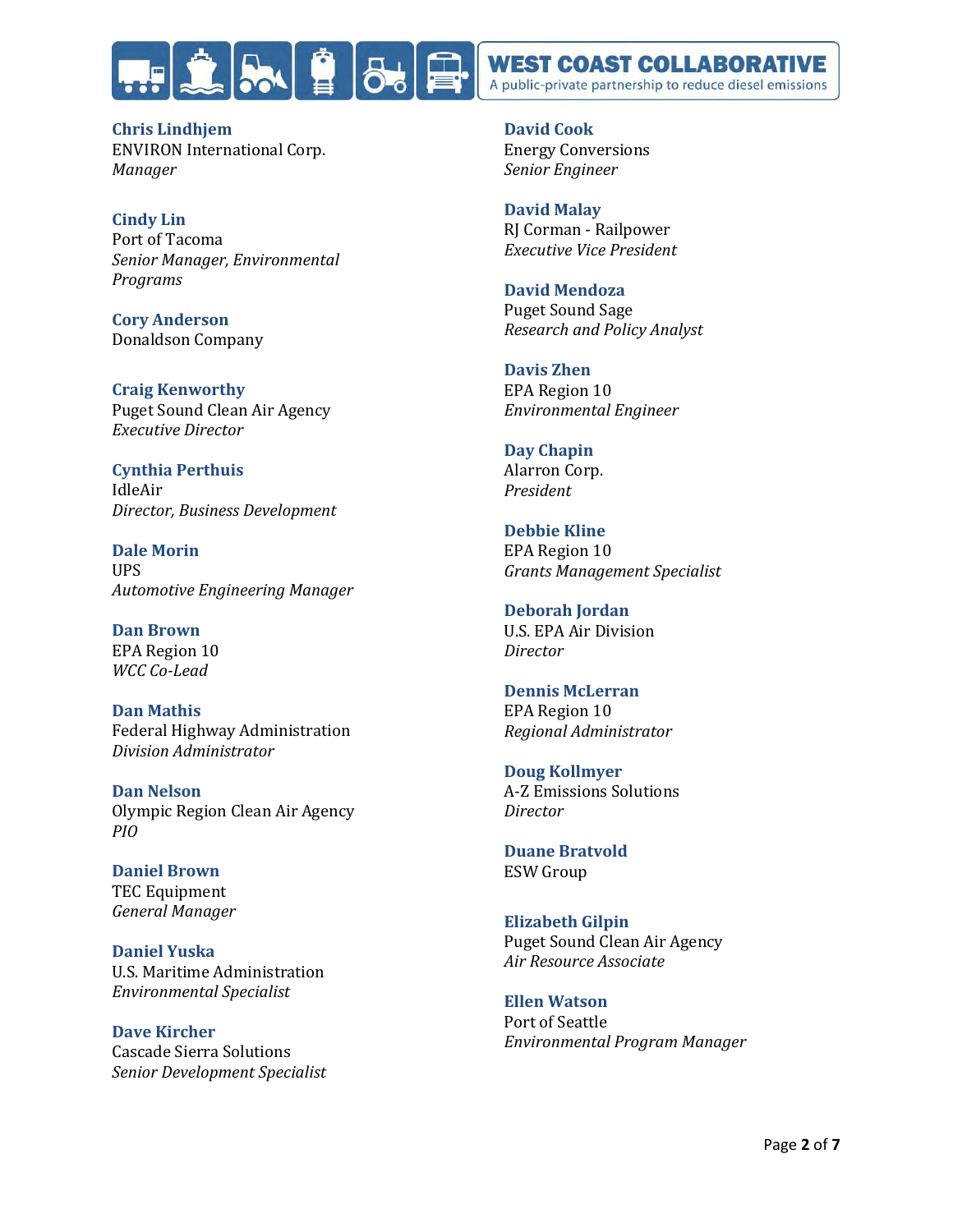

**Chris Lindhjem** ENVIRON International Corp. *Manager*

**Cindy Lin** Port of Tacoma *Senior Manager, Environmental Programs*

**Cory Anderson** Donaldson Company

**Craig Kenworthy** Puget Sound Clean Air Agency *Executive Director*

**Cynthia Perthuis** IdleAir *Director, Business Development*

**Dale Morin** UPS *Automotive Engineering Manager*

**Dan Brown** EPA Region 10 *WCC Co-Lead*

**Dan Mathis** Federal Highway Administration *Division Administrator*

**Dan Nelson** Olympic Region Clean Air Agency *PIO*

**Daniel Brown** TEC Equipment *General Manager*

**Daniel Yuska** U.S. Maritime Administration *Environmental Specialist*

**Dave Kircher** Cascade Sierra Solutions *Senior Development Specialist* **David Cook** Energy Conversions *Senior Engineer*

**David Malay** RJ Corman - Railpower *Executive Vice President*

**David Mendoza** Puget Sound Sage *Research and Policy Analyst*

**Davis Zhen** EPA Region 10 *Environmental Engineer*

**Day Chapin** Alarron Corp. *President*

**Debbie Kline** EPA Region 10 *Grants Management Specialist*

**Deborah Jordan** U.S. EPA Air Division *Director*

**Dennis McLerran** EPA Region 10 *Regional Administrator*

**Doug Kollmyer** A-Z Emissions Solutions *Director*

**Duane Bratvold** ESW Group

**Elizabeth Gilpin** Puget Sound Clean Air Agency *Air Resource Associate*

**Ellen Watson** Port of Seattle *Environmental Program Manager*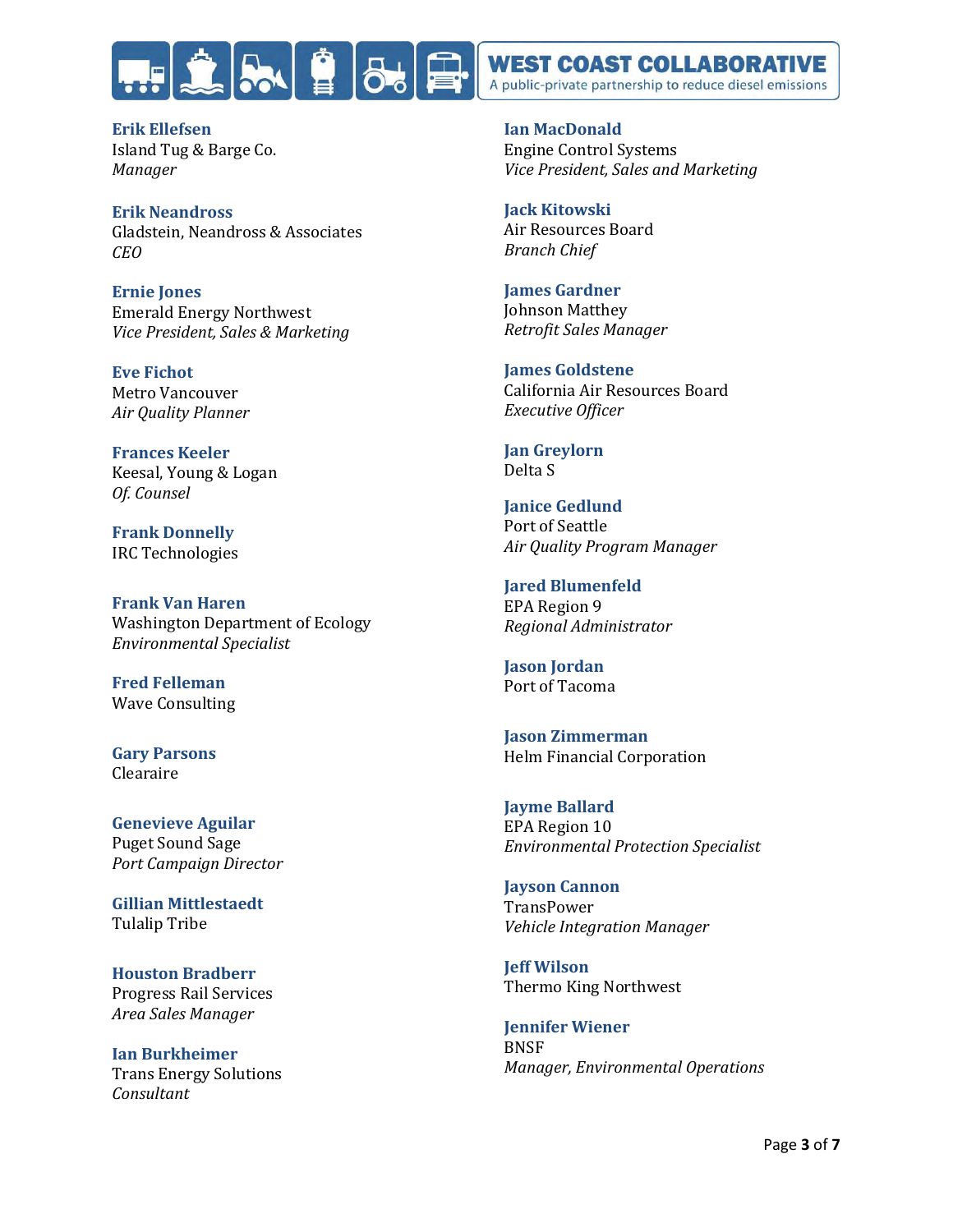

**Erik Ellefsen** Island Tug & Barge Co. *Manager*

**Erik Neandross** Gladstein, Neandross & Associates *CEO*

**Ernie Jones** Emerald Energy Northwest *Vice President, Sales & Marketing*

**Eve Fichot** Metro Vancouver *Air Quality Planner*

**Frances Keeler** Keesal, Young & Logan *Of. Counsel*

**Frank Donnelly** IRC Technologies

**Frank Van Haren** Washington Department of Ecology *Environmental Specialist*

**Fred Felleman** Wave Consulting

**Gary Parsons** Clearaire

**Genevieve Aguilar** Puget Sound Sage *Port Campaign Director*

**Gillian Mittlestaedt** Tulalip Tribe

**Houston Bradberr** Progress Rail Services *Area Sales Manager*

**Ian Burkheimer** Trans Energy Solutions *Consultant*

**Ian MacDonald** Engine Control Systems *Vice President, Sales and Marketing*

**Jack Kitowski** Air Resources Board *Branch Chief*

**James Gardner** Johnson Matthey *Retrofit Sales Manager*

**James Goldstene** California Air Resources Board *Executive Officer*

**Jan Greylorn** Delta S

**Janice Gedlund** Port of Seattle *Air Quality Program Manager*

**Jared Blumenfeld** EPA Region 9 *Regional Administrator*

**Jason Jordan** Port of Tacoma

**Jason Zimmerman** Helm Financial Corporation

**Jayme Ballard** EPA Region 10 *Environmental Protection Specialist*

**Jayson Cannon TransPower** *Vehicle Integration Manager*

**Jeff Wilson**  Thermo King Northwest

**Jennifer Wiener** BNSF *Manager, Environmental Operations*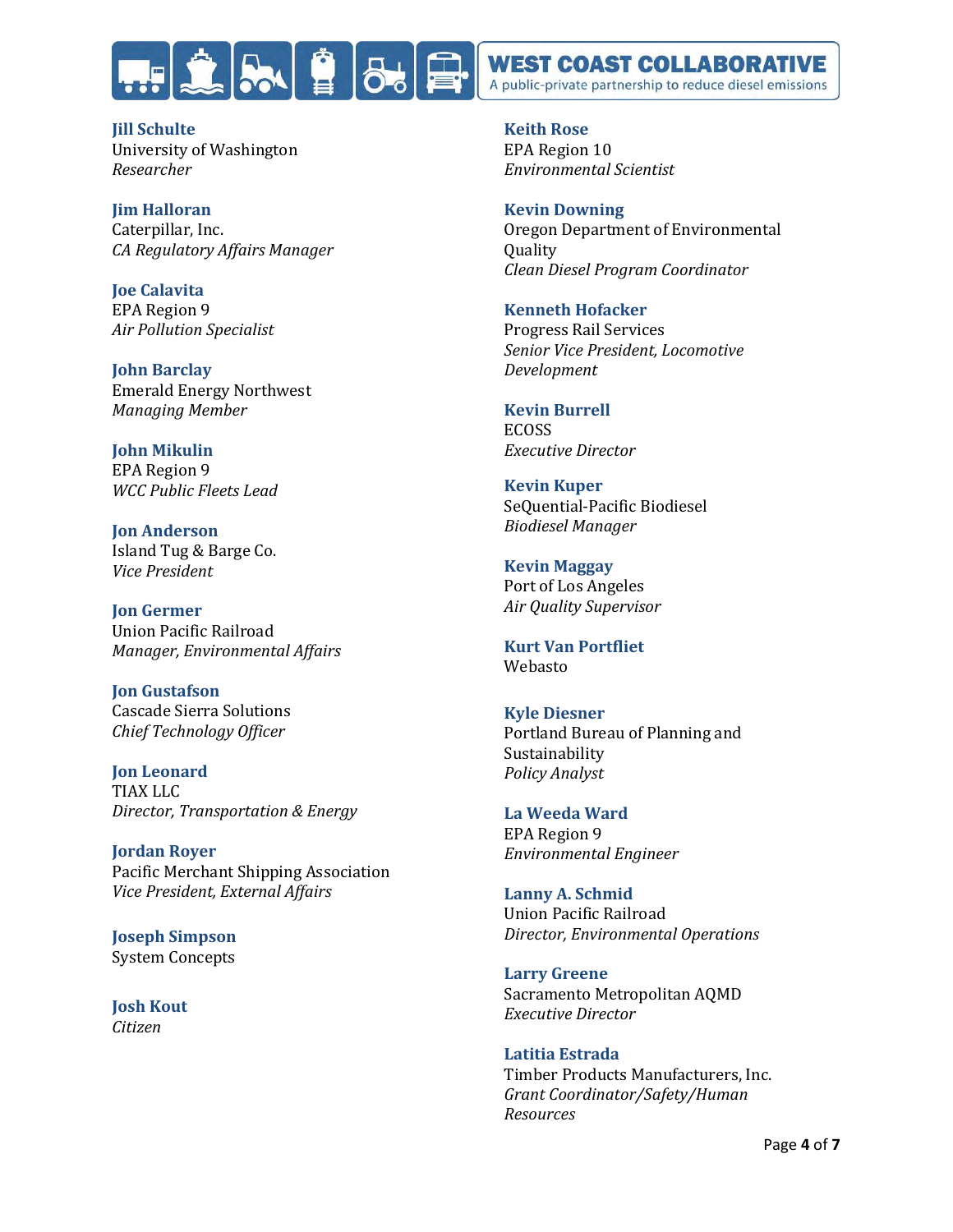

**Jill Schulte** University of Washington *Researcher*

**Jim Halloran** Caterpillar, Inc. *CA Regulatory Affairs Manager*

**Joe Calavita** EPA Region 9 *Air Pollution Specialist*

**John Barclay** Emerald Energy Northwest *Managing Member*

**John Mikulin**  EPA Region 9 *WCC Public Fleets Lead*

**Jon Anderson** Island Tug & Barge Co. *Vice President*

**Jon Germer** Union Pacific Railroad *Manager, Environmental Affairs*

**Jon Gustafson** Cascade Sierra Solutions *Chief Technology Officer*

**Jon Leonard** TIAX LLC *Director, Transportation & Energy*

**Jordan Royer** Pacific Merchant Shipping Association *Vice President, External Affairs*

**Joseph Simpson** System Concepts

**Josh Kout**  *Citizen*

**Keith Rose** EPA Region 10 *Environmental Scientist*

**Kevin Downing** Oregon Department of Environmental **Quality** *Clean Diesel Program Coordinator*

**Kenneth Hofacker** Progress Rail Services *Senior Vice President, Locomotive Development*

**Kevin Burrell** ECOSS *Executive Director*

**Kevin Kuper** SeQuential-Pacific Biodiesel *Biodiesel Manager*

**Kevin Maggay** Port of Los Angeles *Air Quality Supervisor*

**Kurt Van Portfliet** Webasto

**Kyle Diesner** Portland Bureau of Planning and Sustainability *Policy Analyst*

**La Weeda Ward** EPA Region 9 *Environmental Engineer*

**Lanny A. Schmid** Union Pacific Railroad *Director, Environmental Operations*

**Larry Greene** Sacramento Metropolitan AQMD *Executive Director*

**Latitia Estrada** Timber Products Manufacturers, Inc. *Grant Coordinator/Safety/Human Resources*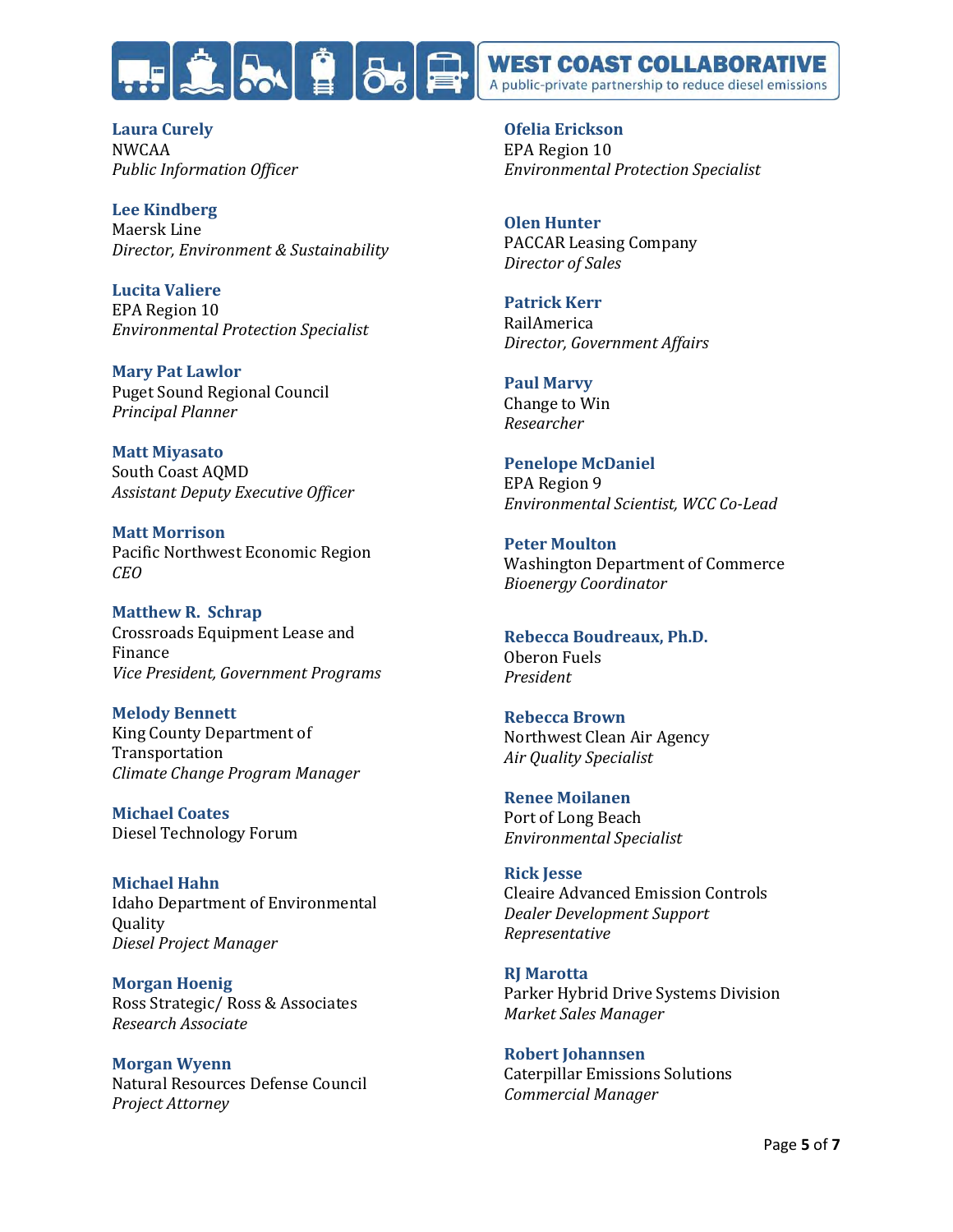

**Laura Curely** NWCAA *Public Information Officer*

**Lee Kindberg** Maersk Line *Director, Environment & Sustainability*

**Lucita Valiere** EPA Region 10 *Environmental Protection Specialist*

**Mary Pat Lawlor** Puget Sound Regional Council *Principal Planner*

**Matt Miyasato** South Coast AQMD *Assistant Deputy Executive Officer*

**Matt Morrison** Pacific Northwest Economic Region *CEO*

**Matthew R. Schrap** Crossroads Equipment Lease and Finance *Vice President, Government Programs*

**Melody Bennett** King County Department of Transportation *Climate Change Program Manager*

**Michael Coates** Diesel Technology Forum

**Michael Hahn** Idaho Department of Environmental Quality *Diesel Project Manager*

**Morgan Hoenig** Ross Strategic/ Ross & Associates *Research Associate*

**Morgan Wyenn** Natural Resources Defense Council *Project Attorney*

**Ofelia Erickson**  EPA Region 10 *Environmental Protection Specialist*

**Olen Hunter** PACCAR Leasing Company *Director of Sales*

**Patrick Kerr**

RailAmerica *Director, Government Affairs*

**Paul Marvy** Change to Win *Researcher* 

**Penelope McDaniel** EPA Region 9 *Environmental Scientist, WCC Co-Lead*

**Peter Moulton** Washington Department of Commerce *Bioenergy Coordinator*

**Rebecca Boudreaux, Ph.D.** Oberon Fuels *President*

**Rebecca Brown** Northwest Clean Air Agency *Air Quality Specialist*

**Renee Moilanen** Port of Long Beach *Environmental Specialist*

**Rick Jesse** Cleaire Advanced Emission Controls *Dealer Development Support Representative*

**RJ Marotta** Parker Hybrid Drive Systems Division *Market Sales Manager*

**Robert Johannsen** Caterpillar Emissions Solutions *Commercial Manager*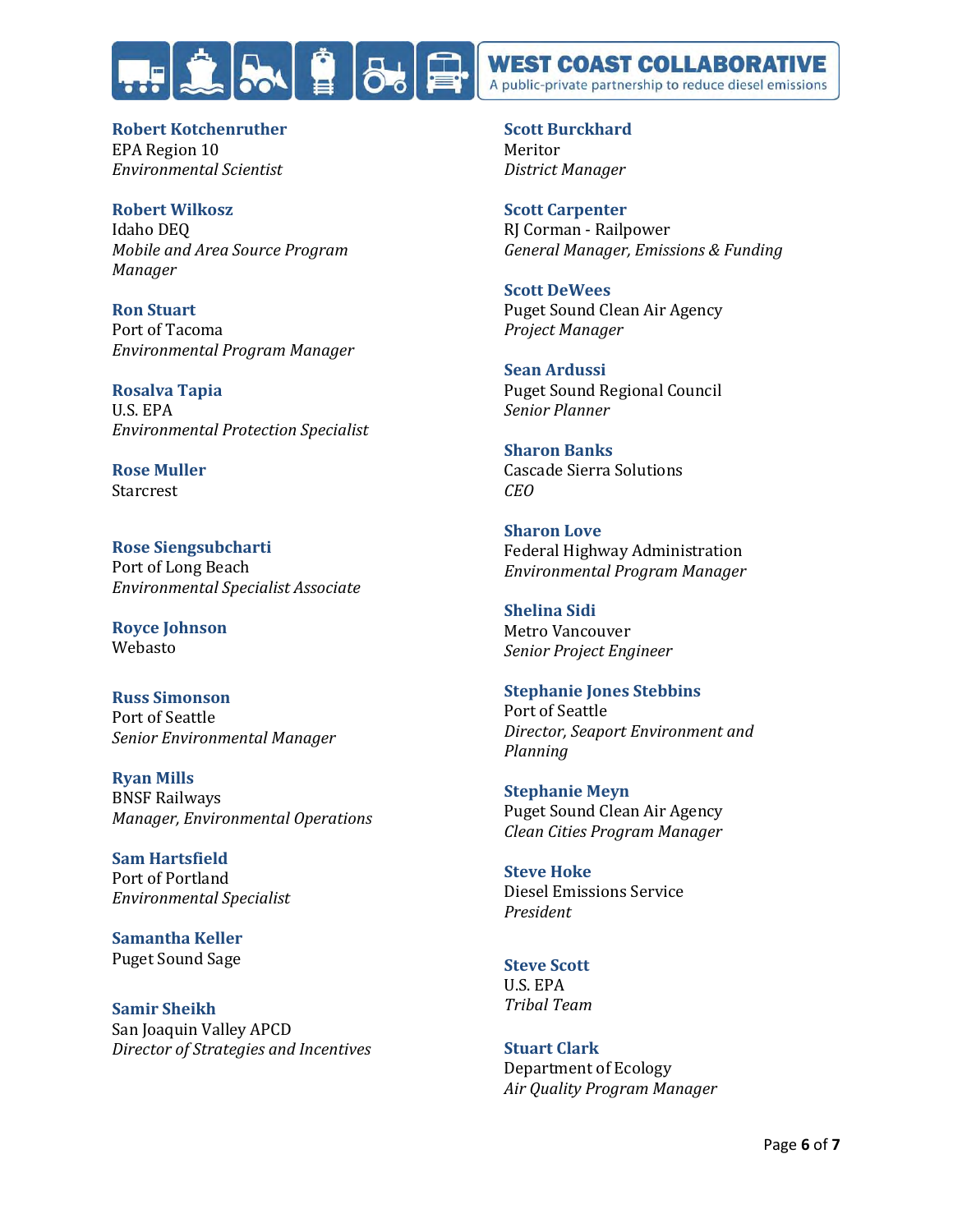

**Robert Kotchenruther** EPA Region 10 *Environmental Scientist*

**Robert Wilkosz** Idaho DEQ *Mobile and Area Source Program Manager*

**Ron Stuart** Port of Tacoma *Environmental Program Manager*

**Rosalva Tapia** U.S. EPA *Environmental Protection Specialist*

**Rose Muller Starcrest** 

**Rose Siengsubcharti** Port of Long Beach *Environmental Specialist Associate*

**Royce Johnson** Webasto

**Russ Simonson** Port of Seattle *Senior Environmental Manager*

**Ryan Mills** BNSF Railways *Manager, Environmental Operations*

**Sam Hartsfield** Port of Portland *Environmental Specialist*

**Samantha Keller** Puget Sound Sage

**Samir Sheikh** San Joaquin Valley APCD *Director of Strategies and Incentives* **Scott Burckhard** Meritor *District Manager*

**Scott Carpenter** RJ Corman - Railpower *General Manager, Emissions & Funding*

**Scott DeWees** Puget Sound Clean Air Agency *Project Manager*

**Sean Ardussi** Puget Sound Regional Council *Senior Planner*

**Sharon Banks** Cascade Sierra Solutions *CEO*

**Sharon Love** Federal Highway Administration *Environmental Program Manager*

**Shelina Sidi** Metro Vancouver *Senior Project Engineer*

**Stephanie Jones Stebbins** Port of Seattle *Director, Seaport Environment and Planning*

**Stephanie Meyn** Puget Sound Clean Air Agency *Clean Cities Program Manager*

**Steve Hoke** Diesel Emissions Service *President*

**Steve Scott** U.S. EPA *Tribal Team* 

**Stuart Clark** Department of Ecology *Air Quality Program Manager*